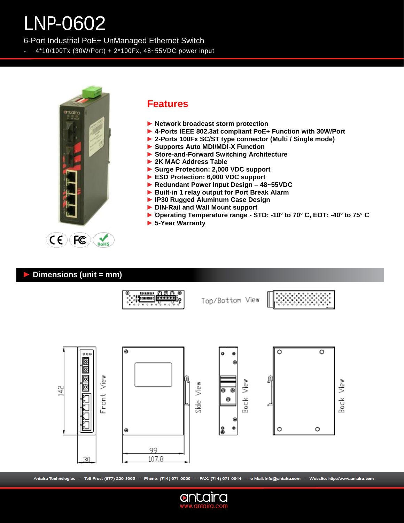# LNP-0602

6-Port Industrial PoE+ UnManaged Ethernet Switch

- 4\*10/100Tx (30W/Port) + 2\*100Fx, 48~55VDC power input



### **Features**

- **► Network broadcast storm protection**
- **► 4-Ports IEEE 802.3at compliant PoE+ Function with 30W/Port**
- **► 2-Ports 100Fx SC/ST type connector (Multi / Single mode)**
- **► Supports Auto MDI/MDI-X Function**
- **► Store-and-Forward Switching Architecture**
- **► 2K MAC Address Table**
- **► Surge Protection: 2,000 VDC support**
- **► ESD Protection: 6,000 VDC support**
- **► Redundant Power Input Design – 48~55VDC**
- **► Built-in 1 relay output for Port Break Alarm**
- **► IP30 Rugged Aluminum Case Design**
- **► DIN-Rail and Wall Mount support**
- **► Operating Temperature range - STD: -10° to 70° C, EOT: -40° to 75° C**
- **► 5-Year Warranty**

#### **► Dimensions (unit = mm)**



Antaira Technologies - Toll-Free: (877) 229-3665 - Phone: (714) 671-9000 - FAX: (714) 671-9944 - e-Mail: info@antaira.com - Website: http://www.antaira.com

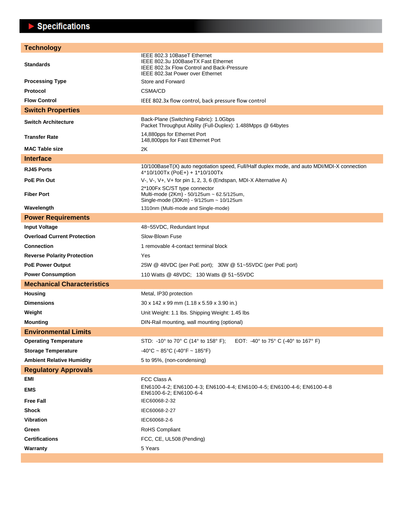## $\blacktriangleright$  Specifications

| <b>Technology</b>                  |                                                                                                                                                      |
|------------------------------------|------------------------------------------------------------------------------------------------------------------------------------------------------|
| <b>Standards</b>                   | IEEE 802.3 10BaseT Ethernet<br>IEEE 802.3u 100BaseTX Fast Ethernet<br>IEEE 802.3x Flow Control and Back-Pressure<br>IEEE 802.3at Power over Ethernet |
| <b>Processing Type</b>             | Store and Forward                                                                                                                                    |
| Protocol                           | CSMA/CD                                                                                                                                              |
| <b>Flow Control</b>                | IEEE 802.3x flow control, back pressure flow control                                                                                                 |
| <b>Switch Properties</b>           |                                                                                                                                                      |
| <b>Switch Architecture</b>         | Back-Plane (Switching Fabric): 1.0Gbps<br>Packet Throughput Ability (Full-Duplex): 1.488Mpps @ 64bytes                                               |
| <b>Transfer Rate</b>               | 14,880pps for Ethernet Port<br>148,800pps for Fast Ethernet Port                                                                                     |
| <b>MAC Table size</b>              | 2K                                                                                                                                                   |
| <b>Interface</b>                   |                                                                                                                                                      |
| <b>RJ45 Ports</b>                  | 10/100BaseT(X) auto negotiation speed, Full/Half duplex mode, and auto MDI/MDI-X connection<br>$4*10/100Tx (PoE+) + 1*10/100Tx$                      |
| PoE Pin Out                        | V-, V-, V+, V+ for pin 1, 2, 3, 6 (Endspan, MDI-X Alternative A)                                                                                     |
| <b>Fiber Port</b>                  | 2*100Fx SC/ST type connector<br>Multi-mode (2Km) - 50/125um ~ 62.5/125um,<br>Single-mode (30Km) - 9/125um ~ 10/125um                                 |
| Wavelength                         | 1310nm (Multi-mode and Single-mode)                                                                                                                  |
| <b>Power Requirements</b>          |                                                                                                                                                      |
| <b>Input Voltage</b>               | 48~55VDC, Redundant Input                                                                                                                            |
| <b>Overload Current Protection</b> | Slow-Blown Fuse                                                                                                                                      |
| <b>Connection</b>                  | 1 removable 4-contact terminal block                                                                                                                 |
| <b>Reverse Polarity Protection</b> | Yes                                                                                                                                                  |
| <b>PoE Power Output</b>            | 25W @ 48VDC (per PoE port); 30W @ 51~55VDC (per PoE port)                                                                                            |
| <b>Power Consumption</b>           | 110 Watts @ 48VDC; 130 Watts @ 51~55VDC                                                                                                              |
| <b>Mechanical Characteristics</b>  |                                                                                                                                                      |
| <b>Housing</b>                     | Metal, IP30 protection                                                                                                                               |
| <b>Dimensions</b>                  | 30 x 142 x 99 mm (1.18 x 5.59 x 3.90 in.)                                                                                                            |
| Weight                             | Unit Weight: 1.1 lbs. Shipping Weight: 1.45 lbs                                                                                                      |
| <b>Mounting</b>                    | DIN-Rail mounting, wall mounting (optional)                                                                                                          |
| <b>Environmental Limits</b>        |                                                                                                                                                      |
| <b>Operating Temperature</b>       | STD: -10° to 70° C (14° to 158° F); EOT: -40° to 75° C (-40° to 167° F)                                                                              |
| <b>Storage Temperature</b>         | $-40^{\circ}$ C ~ 85°C (-40°F ~ 185°F)                                                                                                               |
| <b>Ambient Relative Humidity</b>   | 5 to 95%, (non-condensing)                                                                                                                           |
| <b>Regulatory Approvals</b>        |                                                                                                                                                      |
| EMI                                | FCC Class A                                                                                                                                          |
| <b>EMS</b>                         | EN6100-4-2; EN6100-4-3; EN6100-4-4; EN6100-4-5; EN6100-4-6; EN6100-4-8<br>EN6100-6-2; EN6100-6-4                                                     |
| <b>Free Fall</b>                   | IEC60068-2-32                                                                                                                                        |
| <b>Shock</b>                       | IEC60068-2-27                                                                                                                                        |
| <b>Vibration</b>                   | IEC60068-2-6                                                                                                                                         |
| Green                              | RoHS Compliant                                                                                                                                       |
| <b>Certifications</b>              | FCC, CE, UL508 (Pending)                                                                                                                             |
| Warranty                           | 5 Years                                                                                                                                              |
|                                    |                                                                                                                                                      |